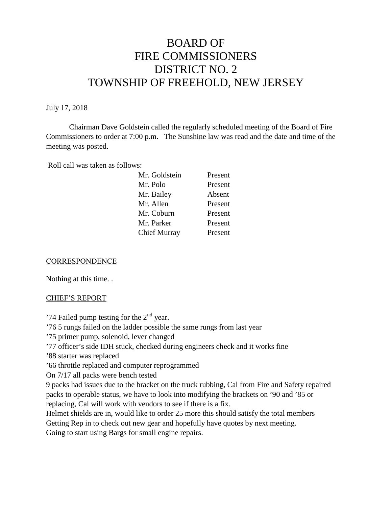# BOARD OF FIRE COMMISSIONERS DISTRICT NO. 2 TOWNSHIP OF FREEHOLD, NEW JERSEY

#### July 17, 2018

Chairman Dave Goldstein called the regularly scheduled meeting of the Board of Fire Commissioners to order at 7:00 p.m. The Sunshine law was read and the date and time of the meeting was posted.

Roll call was taken as follows:

| Mr. Polo<br>Present<br>Mr. Bailey<br>Absent<br>Mr. Allen<br>Present<br>Mr. Coburn<br>Present<br>Mr. Parker<br>Present | Mr. Goldstein | Present |
|-----------------------------------------------------------------------------------------------------------------------|---------------|---------|
|                                                                                                                       |               |         |
|                                                                                                                       |               |         |
|                                                                                                                       |               |         |
|                                                                                                                       |               |         |
|                                                                                                                       |               |         |
|                                                                                                                       | Chief Murray  | Present |

#### **CORRESPONDENCE**

Nothing at this time. .

#### CHIEF'S REPORT

'74 Failed pump testing for the  $2<sup>nd</sup>$  year.

'76 5 rungs failed on the ladder possible the same rungs from last year

'75 primer pump, solenoid, lever changed

'77 officer's side IDH stuck, checked during engineers check and it works fine

'88 starter was replaced

'66 throttle replaced and computer reprogrammed

On 7/17 all packs were bench tested

9 packs had issues due to the bracket on the truck rubbing, Cal from Fire and Safety repaired packs to operable status, we have to look into modifying the brackets on '90 and '85 or replacing, Cal will work with vendors to see if there is a fix.

Helmet shields are in, would like to order 25 more this should satisfy the total members Getting Rep in to check out new gear and hopefully have quotes by next meeting.

Going to start using Bargs for small engine repairs.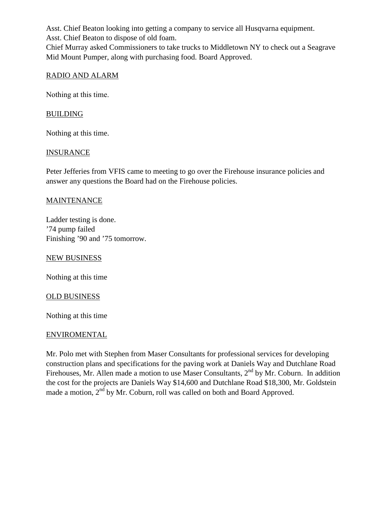Asst. Chief Beaton looking into getting a company to service all Husqvarna equipment.

Asst. Chief Beaton to dispose of old foam.

Chief Murray asked Commissioners to take trucks to Middletown NY to check out a Seagrave Mid Mount Pumper, along with purchasing food. Board Approved.

## RADIO AND ALARM

Nothing at this time.

## BUILDING

Nothing at this time.

#### **INSURANCE**

Peter Jefferies from VFIS came to meeting to go over the Firehouse insurance policies and answer any questions the Board had on the Firehouse policies.

## MAINTENANCE

Ladder testing is done. '74 pump failed Finishing '90 and '75 tomorrow.

NEW BUSINESS

Nothing at this time

#### OLD BUSINESS

Nothing at this time

## ENVIROMENTAL

Mr. Polo met with Stephen from Maser Consultants for professional services for developing construction plans and specifications for the paving work at Daniels Way and Dutchlane Road Firehouses, Mr. Allen made a motion to use Maser Consultants,  $2<sup>nd</sup>$  by Mr. Coburn. In addition the cost for the projects are Daniels Way \$14,600 and Dutchlane Road \$18,300, Mr. Goldstein made a motion,  $2<sup>nd</sup>$  by Mr. Coburn, roll was called on both and Board Approved.